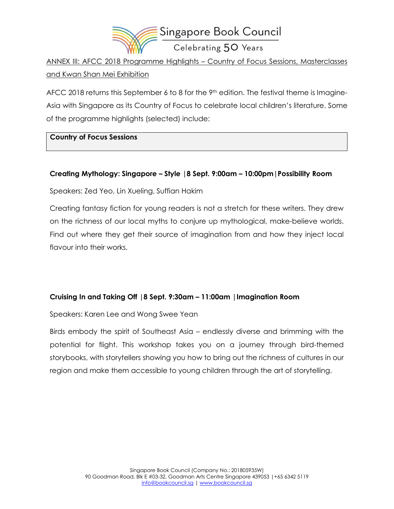

ANNEX III: AFCC 2018 Programme Highlights – Country of Focus Sessions, Masterclasses and Kwan Shan Mei Exhibition

AFCC 2018 returns this September 6 to 8 for the 9<sup>th</sup> edition. The festival theme is Imagine-Asia with Singapore as its Country of Focus to celebrate local children's literature. Some of the programme highlights (selected) include:

#### **Country of Focus Sessions**

### **Creating Mythology: Singapore – Style |8 Sept. 9:00am – 10:00pm|Possibility Room**

Speakers: Zed Yeo, Lin Xueling, Suffian Hakim

Creating fantasy fiction for young readers is not a stretch for these writers. They drew on the richness of our local myths to conjure up mythological, make-believe worlds. Find out where they get their source of imagination from and how they inject local flavour into their works.

### **Cruising In and Taking Off |8 Sept. 9:30am – 11:00am |Imagination Room**

Speakers: Karen Lee and Wong Swee Yean

Birds embody the spirit of Southeast Asia – endlessly diverse and brimming with the potential for flight. This workshop takes you on a journey through bird-themed storybooks, with storytellers showing you how to bring out the richness of cultures in our region and make them accessible to young children through the art of storytelling.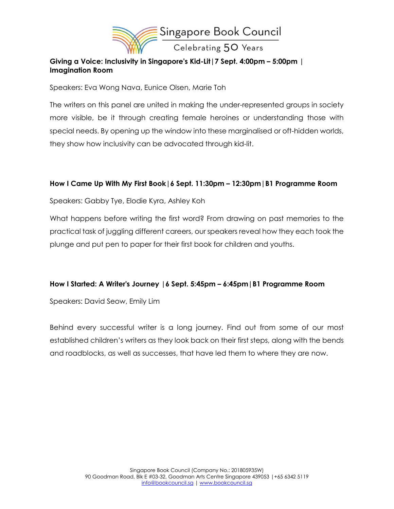

## **Giving a Voice: Inclusivity in Singapore's Kid-Lit|7 Sept. 4:00pm – 5:00pm | Imagination Room**

Speakers: Eva Wong Nava, Eunice Olsen, Marie Toh

The writers on this panel are united in making the under-represented groups in society more visible, be it through creating female heroines or understanding those with special needs. By opening up the window into these marginalised or oft-hidden worlds, they show how inclusivity can be advocated through kid-lit.

#### **How I Came Up With My First Book|6 Sept. 11:30pm – 12:30pm|B1 Programme Room**

Speakers: Gabby Tye, Elodie Kyra, Ashley Koh

What happens before writing the first word? From drawing on past memories to the practical task of juggling different careers, our speakers reveal how they each took the plunge and put pen to paper for their first book for children and youths.

#### **How I Started: A Writer's Journey |6 Sept. 5:45pm – 6:45pm|B1 Programme Room**

Speakers: David Seow, Emily Lim

Behind every successful writer is a long journey. Find out from some of our most established children's writers as they look back on their first steps, along with the bends and roadblocks, as well as successes, that have led them to where they are now.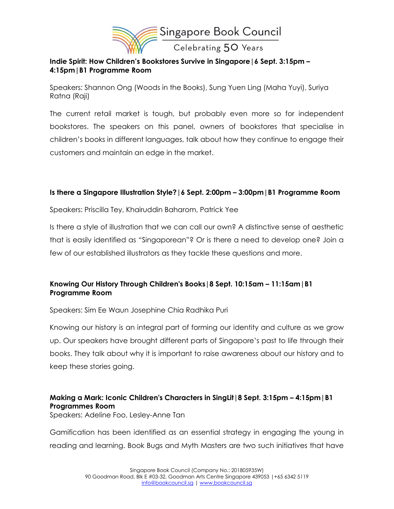

### **Indie Spirit: How Children's Bookstores Survive in Singapore|6 Sept. 3:15pm – 4:15pm|B1 Programme Room**

Speakers: Shannon Ong (Woods in the Books), Sung Yuen Ling (Maha Yuyi), Suriya Ratna (Raji)

The current retail market is tough, but probably even more so for independent bookstores. The speakers on this panel, owners of bookstores that specialise in children's books in different languages, talk about how they continue to engage their customers and maintain an edge in the market.

### **Is there a Singapore Illustration Style?|6 Sept. 2:00pm – 3:00pm|B1 Programme Room**

Speakers: Priscilla Tey, Khairuddin Baharom, Patrick Yee

Is there a style of illustration that we can call our own? A distinctive sense of aesthetic that is easily identified as "Singaporean"? Or is there a need to develop one? Join a few of our established illustrators as they tackle these questions and more.

## **Knowing Our History Through Children's Books|8 Sept. 10:15am – 11:15am|B1 Programme Room**

Speakers: Sim Ee Waun Josephine Chia Radhika Puri

Knowing our history is an integral part of forming our identity and culture as we grow up. Our speakers have brought different parts of Singapore's past to life through their books. They talk about why it is important to raise awareness about our history and to keep these stories going.

# **Making a Mark: Iconic Children's Characters in SingLit|8 Sept. 3:15pm – 4:15pm|B1 Programmes Room**

Speakers: Adeline Foo, Lesley-Anne Tan

Gamification has been identified as an essential strategy in engaging the young in reading and learning. Book Bugs and Myth Masters are two such initiatives that have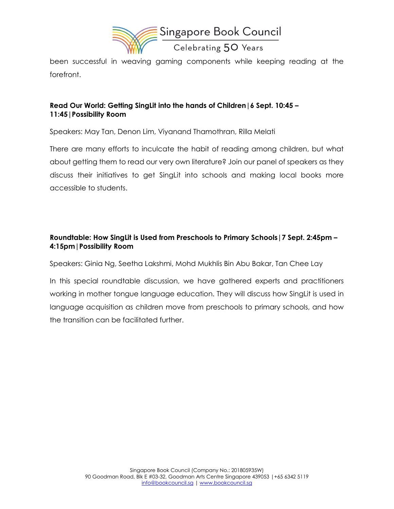

been successful in weaving gaming components while keeping reading at the forefront.

## **Read Our World: Getting SingLit into the hands of Children|6 Sept. 10:45 – 11:45|Possibility Room**

Speakers: May Tan, Denon Lim, Viyanand Thamothran, Rilla Melati

There are many efforts to inculcate the habit of reading among children, but what about getting them to read our very own literature? Join our panel of speakers as they discuss their initiatives to get SingLit into schools and making local books more accessible to students.

## **Roundtable: How SingLit is Used from Preschools to Primary Schools|7 Sept. 2:45pm – 4:15pm|Possibility Room**

Speakers: Ginia Ng, Seetha Lakshmi, Mohd Mukhlis Bin Abu Bakar, Tan Chee Lay

In this special roundtable discussion, we have gathered experts and practitioners working in mother tongue language education. They will discuss how SingLit is used in language acquisition as children move from preschools to primary schools, and how the transition can be facilitated further.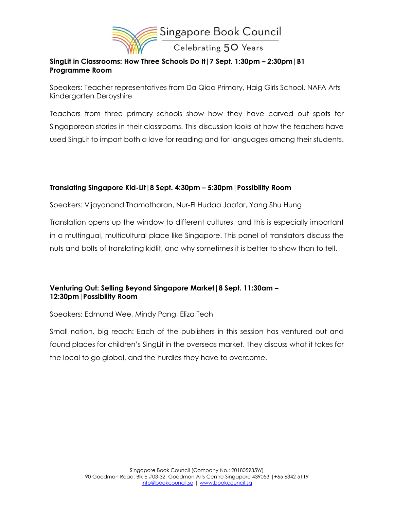

## **SingLit in Classrooms: How Three Schools Do It|7 Sept. 1:30pm – 2:30pm|B1 Programme Room**

Speakers: Teacher representatives from Da Qiao Primary, Haig Girls School, NAFA Arts Kindergarten Derbyshire

Teachers from three primary schools show how they have carved out spots for Singaporean stories in their classrooms. This discussion looks at how the teachers have used SingLit to impart both a love for reading and for languages among their students.

## **Translating Singapore Kid-Lit|8 Sept. 4:30pm – 5:30pm|Possibility Room**

Speakers: Vijayanand Thamotharan, Nur-El Hudaa Jaafar, Yang Shu Hung

Translation opens up the window to different cultures, and this is especially important in a multingual, multicultural place like Singapore. This panel of translators discuss the nuts and bolts of translating kidlit, and why sometimes it is better to show than to tell.

## **Venturing Out: Selling Beyond Singapore Market|8 Sept. 11:30am – 12:30pm|Possibility Room**

Speakers: Edmund Wee, Mindy Pang, Eliza Teoh

Small nation, big reach: Each of the publishers in this session has ventured out and found places for children's SingLit in the overseas market. They discuss what it takes for the local to go global, and the hurdles they have to overcome.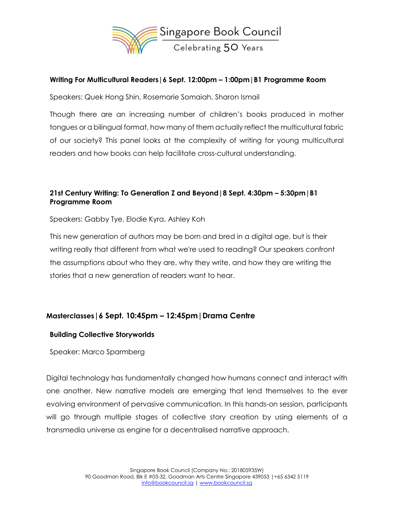

### **Writing For Multicultural Readers|6 Sept. 12:00pm – 1:00pm|B1 Programme Room**

Speakers: Quek Hong Shin, Rosemarie Somaiah, Sharon Ismail

Though there are an increasing number of children's books produced in mother tongues or a bilingual format, how many of them actually reflect the multicultural fabric of our society? This panel looks at the complexity of writing for young multicultural readers and how books can help facilitate cross-cultural understanding.

# **21st Century Writing: To Generation Z and Beyond|8 Sept. 4:30pm – 5:30pm|B1 Programme Room**

Speakers: Gabby Tye, Elodie Kyra, Ashley Koh

This new generation of authors may be born and bred in a digital age, but is their writing really that different from what we're used to reading? Our speakers confront the assumptions about who they are, why they write, and how they are writing the stories that a new generation of readers want to hear.

# **Masterclasses|6 Sept. 10:45pm – 12:45pm|Drama Centre**

### **Building Collective Storyworlds**

Speaker: Marco Sparmberg

Digital technology has fundamentally changed how humans connect and interact with one another. New narrative models are emerging that lend themselves to the ever evolving environment of pervasive communication. In this hands-on session, participants will go through multiple stages of collective story creation by using elements of a transmedia universe as engine for a decentralised narrative approach.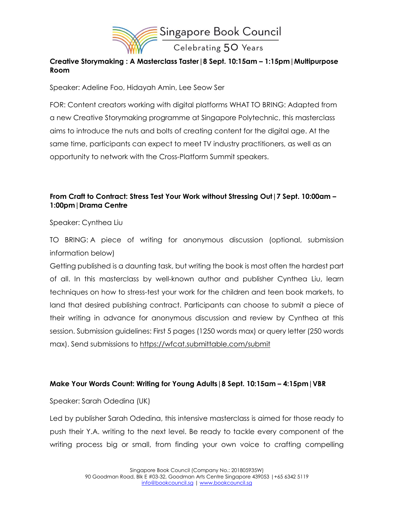

# **Creative Storymaking : A Masterclass Taster|8 Sept. 10:15am – 1:15pm|Multipurpose Room**

Speaker: Adeline Foo, Hidayah Amin, Lee Seow Ser

FOR: Content creators working with digital platforms WHAT TO BRING: Adapted from a new Creative Storymaking programme at Singapore Polytechnic, this masterclass aims to introduce the nuts and bolts of creating content for the digital age. At the same time, participants can expect to meet TV industry practitioners, as well as an opportunity to network with the Cross-Platform Summit speakers.

# **From Craft to Contract: Stress Test Your Work without Stressing Out|7 Sept. 10:00am – 1:00pm|Drama Centre**

Speaker: Cynthea Liu

TO BRING: A piece of writing for anonymous discussion (optional, submission information below)

Getting published is a daunting task, but writing the book is most often the hardest part of all. In this masterclass by well-known author and publisher Cynthea Liu, learn techniques on how to stress-test your work for the children and teen book markets, to land that desired publishing contract. Participants can choose to submit a piece of their writing in advance for anonymous discussion and review by Cynthea at this session. Submission guidelines: First 5 pages (1250 words max) or query letter (250 words max). Send submissions to <https://wfcat.submittable.com/submit>

# **Make Your Words Count: Writing for Young Adults|8 Sept. 10:15am – 4:15pm|VBR**

Speaker: Sarah Odedina (UK)

Led by publisher Sarah Odedina, this intensive masterclass is aimed for those ready to push their Y.A. writing to the next level. Be ready to tackle every component of the writing process big or small, from finding your own voice to crafting compelling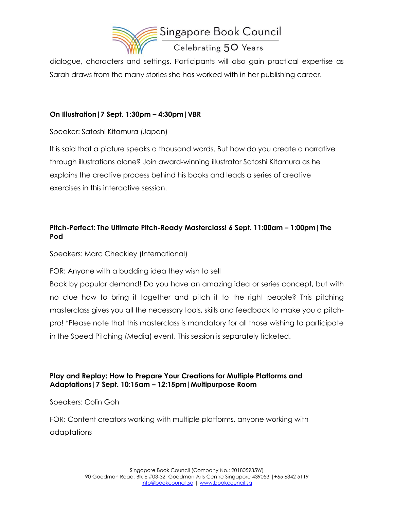

dialogue, characters and settings. Participants will also gain practical expertise as Sarah draws from the many stories she has worked with in her publishing career.

# **On Illustration|7 Sept. 1:30pm – 4:30pm|VBR**

Speaker: Satoshi Kitamura (Japan)

It is said that a picture speaks a thousand words. But how do you create a narrative through illustrations alone? Join award-winning illustrator Satoshi Kitamura as he explains the creative process behind his books and leads a series of creative exercises in this interactive session.

# **Pitch-Perfect: The Ultimate Pitch-Ready Masterclass! 6 Sept. 11:00am – 1:00pm|The Pod**

Speakers: Marc Checkley (International)

FOR: Anyone with a budding idea they wish to sell

Back by popular demand! Do you have an amazing idea or series concept, but with no clue how to bring it together and pitch it to the right people? This pitching masterclass gives you all the necessary tools, skills and feedback to make you a pitchpro! \*Please note that this masterclass is mandatory for all those wishing to participate in the Speed Pitching (Media) event. This session is separately ticketed.

## **Play and Replay: How to Prepare Your Creations for Multiple Platforms and Adaptations|7 Sept. 10:15am – 12:15pm|Multipurpose Room**

Speakers: Colin Goh

FOR: Content creators working with multiple platforms, anyone working with adaptations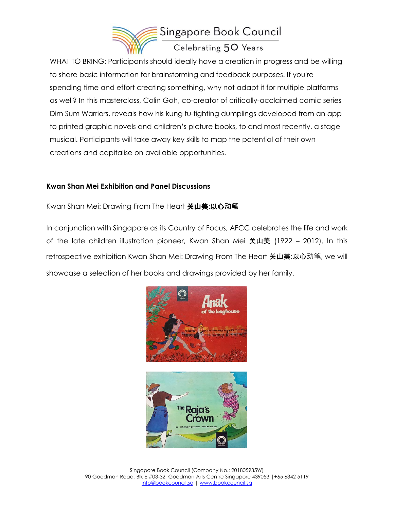

WHAT TO BRING: Participants should ideally have a creation in progress and be willing to share basic information for brainstorming and feedback purposes. If you're spending time and effort creating something, why not adapt it for multiple platforms as well? In this masterclass, Colin Goh, co-creator of critically-acclaimed comic series Dim Sum Warriors, reveals how his kung fu-fighting dumplings developed from an app to printed graphic novels and children's picture books, to and most recently, a stage musical. Participants will take away key skills to map the potential of their own creations and capitalise on available opportunities.

### **Kwan Shan Mei Exhibition and Panel Discussions**

Kwan Shan Mei: Drawing From The Heart 关山美:以心**动笔**

In conjunction with Singapore as its Country of Focus, AFCC celebrates the life and work of the late children illustration pioneer, Kwan Shan Mei 关山美 (1922 – 2012). In this retrospective exhibition Kwan Shan Mei: Drawing From The Heart 关山美:以心动笔, we will showcase a selection of her books and drawings provided by her family.

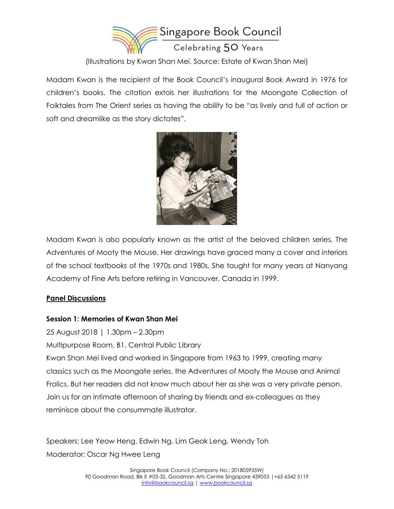

(Illustrations by Kwan Shan Mei. Source: Estate of Kwan Shan Mei)

Madam Kwan is the recipient of the Book Council's inaugural Book Award in 1976 for children's books. The citation extols her illustrations for the Moongate Collection of Folktales from The Orient series as having the ability to be "as lively and full of action or soft and dreamlike as the story dictates".



Madam Kwan is also popularly known as the artist of the beloved children series, The Adventures of Mooty the Mouse. Her drawings have graced many a cover and interiors of the school textbooks of the 1970s and 1980s. She taught for many years at Nanyang Academy of Fine Arts before retiring in Vancouver, Canada in 1999.

# **Panel Discussions**

### **Session 1: Memories of Kwan Shan Mei**

25 August 2018 | 1.30pm – 2.30pm Multipurpose Room, B1, Central Public Library Kwan Shan Mei lived and worked in Singapore from 1963 to 1999, creating many classics such as the Moongate series, the Adventures of Mooty the Mouse and Animal Frolics. But her readers did not know much about her as she was a very private person. Join us for an intimate afternoon of sharing by friends and ex-colleagues as they reminisce about the consummate illustrator.

Speakers: Lee Yeow Heng, Edwin Ng, Lim Geok Leng, Wendy Toh Moderator: Oscar Ng Hwee Leng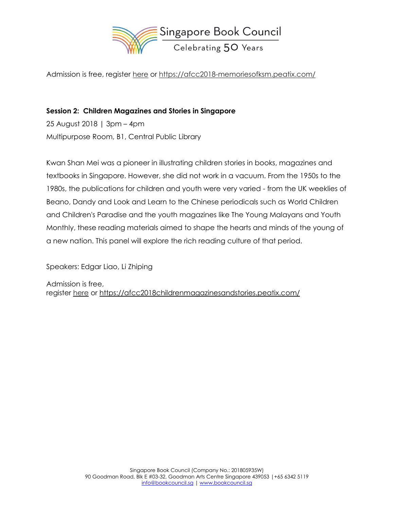

Admission is free, register [here](https://afcc2018-memoriesofksm.peatix.com/?utm_source=Book+Council+Newsletter&utm_campaign=e675d06784-EMAIL_CAMPAIGN_2017_09_20_COPY_01&utm_medium=email&utm_term=0_23769d288d-e675d06784-&mc_cid=e675d06784&mc_eid=%5bUNIQID%5d) or [https://afcc2018-memoriesofksm.peatix.com/](https://afcc2018-memoriesofksm.peatix.com/?utm_source=Book+Council+Newsletter&utm_campaign=e675d06784-EMAIL_CAMPAIGN_2017_09_20_COPY_01&utm_medium=email&utm_term=0_23769d288d-e675d06784-&mc_cid=e675d06784&mc_eid=%5bUNIQID%5d)

## **Session 2: Children Magazines and Stories in Singapore**

25 August 2018 | 3pm – 4pm Multipurpose Room, B1, Central Public Library

Kwan Shan Mei was a pioneer in illustrating children stories in books, magazines and textbooks in Singapore. However, she did not work in a vacuum. From the 1950s to the 1980s, the publications for children and youth were very varied - from the UK weeklies of Beano, Dandy and Look and Learn to the Chinese periodicals such as World Children and Children's Paradise and the youth magazines like The Young Malayans and Youth Monthly, these reading materials aimed to shape the hearts and minds of the young of a new nation. This panel will explore the rich reading culture of that period.

Speakers: Edgar Liao, Li Zhiping

Admission is free, register [here](https://afcc2018-childrenmagazinesandstories.peatix.com/?utm_source=Book+Council+Newsletter&utm_campaign=e675d06784-EMAIL_CAMPAIGN_2017_09_20_COPY_01&utm_medium=email&utm_term=0_23769d288d-e675d06784-&mc_cid=e675d06784&mc_eid=%5bUNIQID%5d) or [https://afcc2018childrenmagazinesandstories.peatix.com/](https://afcc2018-childrenmagazinesandstories.peatix.com/)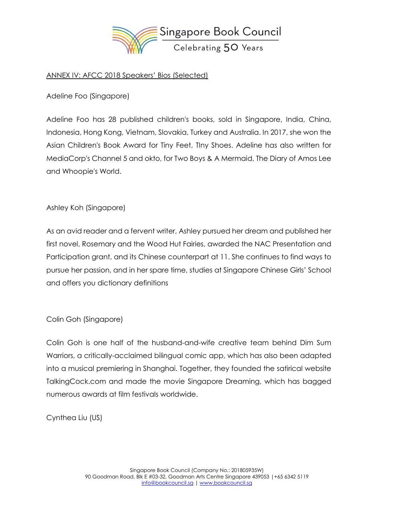

## ANNEX IV: AFCC 2018 Speakers' Bios (Selected)

Adeline Foo (Singapore)

Adeline Foo has 28 published children's books, sold in Singapore, India, China, Indonesia, Hong Kong, Vietnam, Slovakia, Turkey and Australia. In 2017, she won the Asian Children's Book Award for Tiny Feet, TIny Shoes. Adeline has also written for MediaCorp's Channel 5 and okto, for Two Boys & A Mermaid, The Diary of Amos Lee and Whoopie's World.

## Ashley Koh (Singapore)

As an avid reader and a fervent writer, Ashley pursued her dream and published her first novel, Rosemary and the Wood Hut Fairies, awarded the NAC Presentation and Participation grant, and its Chinese counterpart at 11. She continues to find ways to pursue her passion, and in her spare time, studies at Singapore Chinese Girls' School and offers you dictionary definitions

### Colin Goh (Singapore)

Colin Goh is one half of the husband-and-wife creative team behind Dim Sum Warriors, a critically-acclaimed bilingual comic app, which has also been adapted into a musical premiering in Shanghai. Together, they founded the satirical website TalkingCock.com and made the movie Singapore Dreaming, which has bagged numerous awards at film festivals worldwide.

Cynthea Liu (US)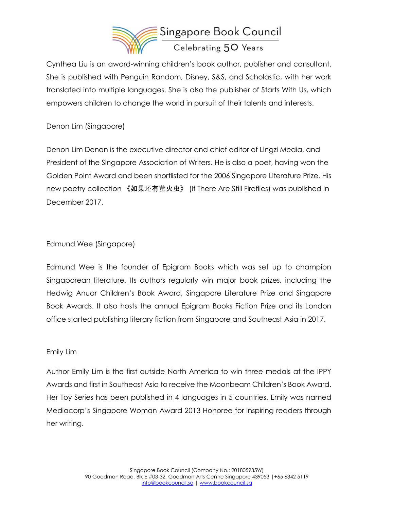

Cynthea Liu is an award-winning children's book author, publisher and consultant. She is published with Penguin Random, Disney, S&S, and Scholastic, with her work translated into multiple languages. She is also the publisher of Starts With Us, which empowers children to change the world in pursuit of their talents and interests.

Denon Lim (Singapore)

Denon Lim Denan is the executive director and chief editor of Lingzi Media, and President of the Singapore Association of Writers. He is also a poet, having won the Golden Point Award and been shortlisted for the 2006 Singapore Literature Prize. His new poetry collection 《如果还有萤火虫》 (If There Are Still Fireflies) was published in December 2017.

# Edmund Wee (Singapore)

Edmund Wee is the founder of Epigram Books which was set up to champion Singaporean literature. Its authors regularly win major book prizes, including the Hedwig Anuar Children's Book Award, Singapore Literature Prize and Singapore Book Awards. It also hosts the annual Epigram Books Fiction Prize and its London office started publishing literary fiction from Singapore and Southeast Asia in 2017.

# Emily Lim

Author Emily Lim is the first outside North America to win three medals at the IPPY Awards and first in Southeast Asia to receive the Moonbeam Children's Book Award. Her Toy Series has been published in 4 languages in 5 countries. Emily was named Mediacorp's Singapore Woman Award 2013 Honoree for inspiring readers through her writing.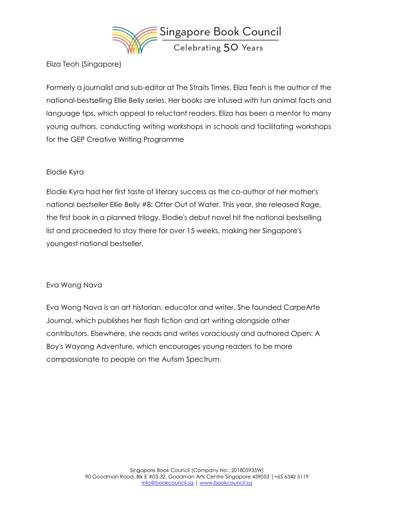

Eliza Teoh (Singapore)

Formerly a journalist and sub-editor at The Straits Times, Eliza Teoh is the author of the national-bestselling Ellie Belly series. Her books are infused with fun animal facts and language tips, which appeal to reluctant readers. Eliza has been a mentor to many young authors, conducting writing workshops in schools and facilitating workshops for the GEP Creative Writing Programme

### Elodie Kyra

Elodie Kyra had her first taste of literary success as the co-author of her mother's national bestseller Ellie Belly #8: Otter Out of Water. This year, she released Rage, the first book in a planned trilogy. Elodie's debut novel hit the national bestselling list and proceeded to stay there for over 15 weeks, making her Singapore's youngest national bestseller.

### Eva Wong Nava

Eva Wong Nava is an art historian, educator and writer. She founded CarpeArte Journal, which publishes her flash fiction and art writing alongside other contributors. Elsewhere, she reads and writes voraciously and authored Open: A Boy's Wayang Adventure, which encourages young readers to be more compassionate to people on the Autism Spectrum.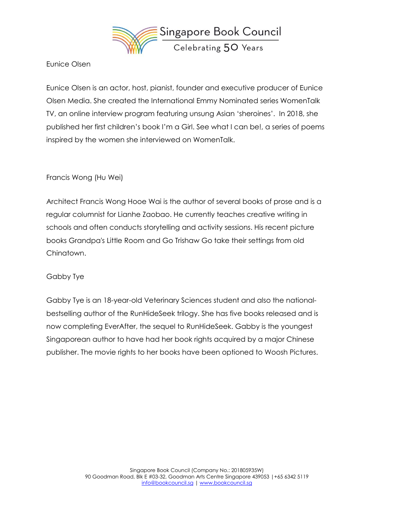

Eunice Olsen

Eunice Olsen is an actor, host, pianist, founder and executive producer of Eunice Olsen Media. She created the International Emmy Nominated series WomenTalk TV, an online interview program featuring unsung Asian 'sheroines'. In 2018, she published her first children's book I'm a Girl. See what I can be!, a series of poems inspired by the women she interviewed on WomenTalk.

## Francis Wong (Hu Wei)

Architect Francis Wong Hooe Wai is the author of several books of prose and is a regular columnist for Lianhe Zaobao. He currently teaches creative writing in schools and often conducts storytelling and activity sessions. His recent picture books Grandpa's Little Room and Go Trishaw Go take their settings from old Chinatown.

### Gabby Tye

Gabby Tye is an 18-year-old Veterinary Sciences student and also the nationalbestselling author of the RunHideSeek trilogy. She has five books released and is now completing EverAfter, the sequel to RunHideSeek. Gabby is the youngest Singaporean author to have had her book rights acquired by a major Chinese publisher. The movie rights to her books have been optioned to Woosh Pictures.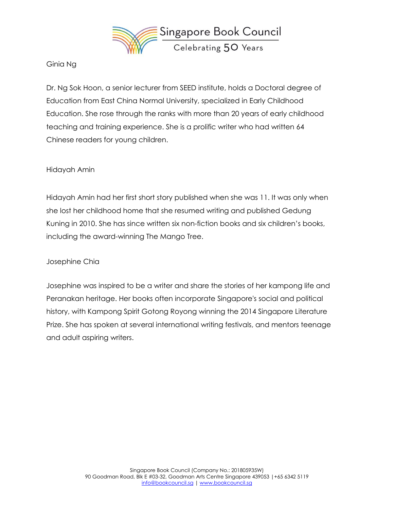

### Ginia Ng

Dr. Ng Sok Hoon, a senior lecturer from SEED institute, holds a Doctoral degree of Education from East China Normal University, specialized in Early Childhood Education. She rose through the ranks with more than 20 years of early childhood teaching and training experience. She is a prolific writer who had written 64 Chinese readers for young children.

### Hidayah Amin

Hidayah Amin had her first short story published when she was 11. It was only when she lost her childhood home that she resumed writing and published Gedung Kuning in 2010. She has since written six non-fiction books and six children's books, including the award-winning The Mango Tree.

### Josephine Chia

Josephine was inspired to be a writer and share the stories of her kampong life and Peranakan heritage. Her books often incorporate Singapore's social and political history, with Kampong Spirit Gotong Royong winning the 2014 Singapore Literature Prize. She has spoken at several international writing festivals, and mentors teenage and adult aspiring writers.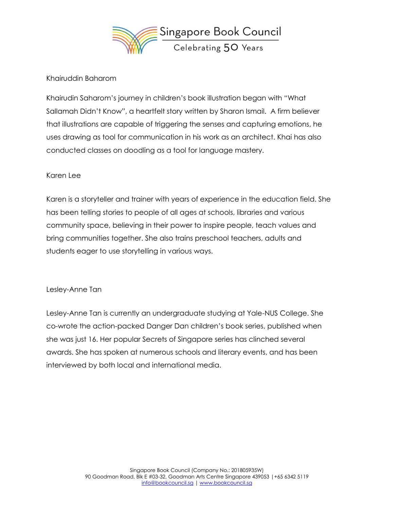

## Khairuddin Baharom

Khairudin Saharom's journey in children's book illustration began with "What Sallamah Didn't Know", a heartfelt story written by Sharon Ismail. A firm believer that illustrations are capable of triggering the senses and capturing emotions, he uses drawing as tool for communication in his work as an architect. Khai has also conducted classes on doodling as a tool for language mastery.

### Karen Lee

Karen is a storyteller and trainer with years of experience in the education field. She has been telling stories to people of all ages at schools, libraries and various community space, believing in their power to inspire people, teach values and bring communities together. She also trains preschool teachers, adults and students eager to use storytelling in various ways.

#### Lesley-Anne Tan

Lesley-Anne Tan is currently an undergraduate studying at Yale-NUS College. She co-wrote the action-packed Danger Dan children's book series, published when she was just 16. Her popular Secrets of Singapore series has clinched several awards. She has spoken at numerous schools and literary events, and has been interviewed by both local and international media.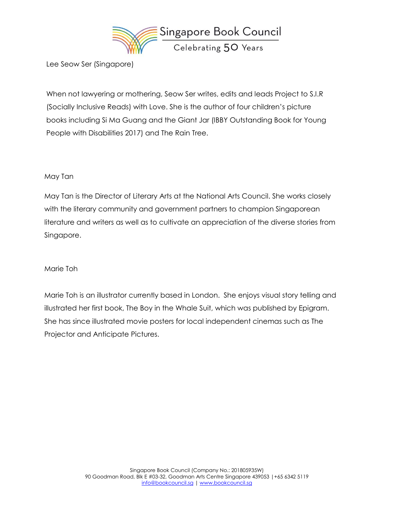

Lee Seow Ser (Singapore)

When not lawyering or mothering, Seow Ser writes, edits and leads Project to S.I.R (Socially Inclusive Reads) with Love. She is the author of four children's picture books including Si Ma Guang and the Giant Jar (IBBY Outstanding Book for Young People with Disabilities 2017) and The Rain Tree.

### May Tan

May Tan is the Director of Literary Arts at the National Arts Council. She works closely with the literary community and government partners to champion Singaporean literature and writers as well as to cultivate an appreciation of the diverse stories from Singapore.

### Marie Toh

Marie Toh is an illustrator currently based in London. She enjoys visual story telling and illustrated her first book, The Boy in the Whale Suit, which was published by Epigram. She has since illustrated movie posters for local independent cinemas such as The Projector and Anticipate Pictures.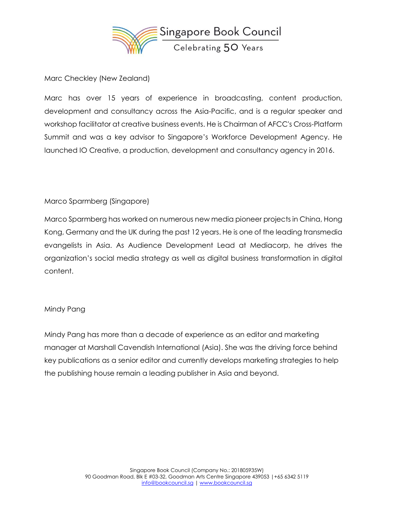

Marc Checkley (New Zealand)

Marc has over 15 years of experience in broadcasting, content production, development and consultancy across the Asia-Pacific, and is a regular speaker and workshop facilitator at creative business events. He is Chairman of AFCC's Cross-Platform Summit and was a key advisor to Singapore's Workforce Development Agency. He launched IO Creative, a production, development and consultancy agency in 2016.

# Marco Sparmberg (Singapore)

Marco Sparmberg has worked on numerous new media pioneer projects in China, Hong Kong, Germany and the UK during the past 12 years. He is one of the leading transmedia evangelists in Asia. As Audience Development Lead at Mediacorp, he drives the organization's social media strategy as well as digital business transformation in digital content.

# Mindy Pang

Mindy Pang has more than a decade of experience as an editor and marketing manager at Marshall Cavendish International (Asia). She was the driving force behind key publications as a senior editor and currently develops marketing strategies to help the publishing house remain a leading publisher in Asia and beyond.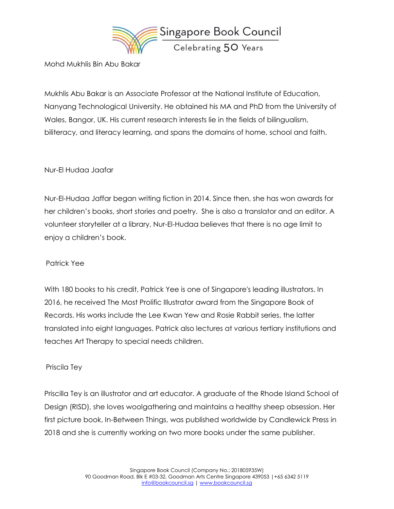

Mohd Mukhlis Bin Abu Bakar

Mukhlis Abu Bakar is an Associate Professor at the National Institute of Education, Nanyang Technological University. He obtained his MA and PhD from the University of Wales, Bangor, UK. His current research interests lie in the fields of bilingualism, biliteracy, and literacy learning, and spans the domains of home, school and faith.

# Nur-El Hudaa Jaafar

Nur-El-Hudaa Jaffar began writing fiction in 2014. Since then, she has won awards for her children's books, short stories and poetry. She is also a translator and an editor. A volunteer storyteller at a library, Nur-El-Hudaa believes that there is no age limit to enjoy a children's book.

### Patrick Yee

With 180 books to his credit, Patrick Yee is one of Singapore's leading illustrators. In 2016, he received The Most Prolific Illustrator award from the Singapore Book of Records. His works include the Lee Kwan Yew and Rosie Rabbit series, the latter translated into eight languages. Patrick also lectures at various tertiary institutions and teaches Art Therapy to special needs children.

### Priscila Tey

Priscilla Tey is an illustrator and art educator. A graduate of the Rhode Island School of Design (RISD), she loves woolgathering and maintains a healthy sheep obsession. Her first picture book, In-Between Things, was published worldwide by Candlewick Press in 2018 and she is currently working on two more books under the same publisher.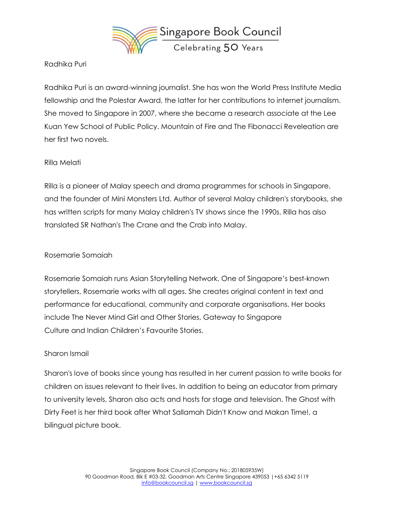

Radhika Puri

Radhika Puri is an award-winning journalist. She has won the World Press Institute Media fellowship and the Polestar Award, the latter for her contributions to internet journalism. She moved to Singapore in 2007, where she became a research associate at the Lee Kuan Yew School of Public Policy. Mountain of Fire and The Fibonacci Reveleation are her first two novels.

## Rilla Melati

Rilla is a pioneer of Malay speech and drama programmes for schools in Singapore, and the founder of Mini Monsters Ltd. Author of several Malay children's storybooks, she has written scripts for many Malay children's TV shows since the 1990s. Rilla has also translated SR Nathan's The Crane and the Crab into Malay.

## Rosemarie Somaiah

Rosemarie Somaiah runs Asian Storytelling Network. One of Singapore's best-known storytellers, Rosemarie works with all ages. She creates original content in text and performance for educational, community and corporate organisations. Her books include The Never Mind Girl and Other Stories, Gateway to Singapore Culture and Indian Children's Favourite Stories.

### Sharon Ismail

Sharon's love of books since young has resulted in her current passion to write books for children on issues relevant to their lives. In addition to being an educator from primary to university levels, Sharon also acts and hosts for stage and television. The Ghost with Dirty Feet is her third book after What Sallamah Didn't Know and Makan Time!, a bilingual picture book.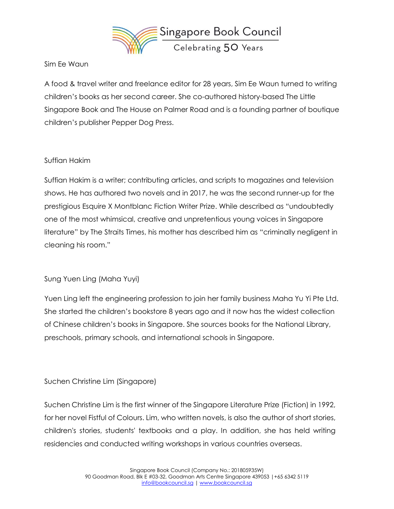

### Sim Ee Waun

A food & travel writer and freelance editor for 28 years, Sim Ee Waun turned to writing children's books as her second career. She co-authored history-based The Little Singapore Book and The House on Palmer Road and is a founding partner of boutique children's publisher Pepper Dog Press.

## Suffian Hakim

Suffian Hakim is a writer; contributing articles, and scripts to magazines and television shows. He has authored two novels and in 2017, he was the second runner-up for the prestigious Esquire X Montblanc Fiction Writer Prize. While described as "undoubtedly one of the most whimsical, creative and unpretentious young voices in Singapore literature" by The Straits Times, his mother has described him as "criminally negligent in cleaning his room."

# Sung Yuen Ling (Maha Yuyi)

Yuen Ling left the engineering profession to join her family business Maha Yu Yi Pte Ltd. She started the children's bookstore 8 years ago and it now has the widest collection of Chinese children's books in Singapore. She sources books for the National Library, preschools, primary schools, and international schools in Singapore.

# Suchen Christine Lim (Singapore)

Suchen Christine Lim is the first winner of the Singapore Literature Prize (Fiction) in 1992, for her novel Fistful of Colours. Lim, who written novels, is also the author of short stories, children's stories, students' textbooks and a play. In addition, she has held writing residencies and conducted writing workshops in various countries overseas.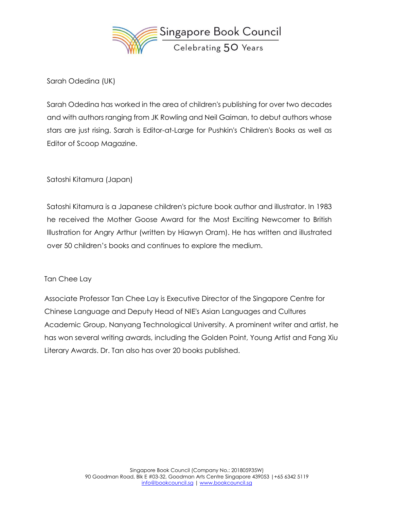

Sarah Odedina (UK)

Sarah Odedina has worked in the area of children's publishing for over two decades and with authors ranging from JK Rowling and Neil Gaiman, to debut authors whose stars are just rising. Sarah is Editor-at-Large for Pushkin's Children's Books as well as Editor of Scoop Magazine.

Satoshi Kitamura (Japan)

Satoshi Kitamura is a Japanese children's picture book author and illustrator. In 1983 he received the Mother Goose Award for the Most Exciting Newcomer to British Illustration for Angry Arthur (written by Hiawyn Oram). He has written and illustrated over 50 children's books and continues to explore the medium.

Tan Chee Lay

Associate Professor Tan Chee Lay is Executive Director of the Singapore Centre for Chinese Language and Deputy Head of NIE's Asian Languages and Cultures Academic Group, Nanyang Technological University. A prominent writer and artist, he has won several writing awards, including the Golden Point, Young Artist and Fang Xiu Literary Awards. Dr. Tan also has over 20 books published.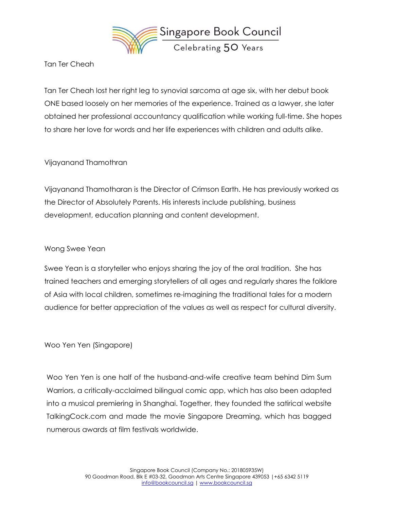

Tan Ter Cheah

Tan Ter Cheah lost her right leg to synovial sarcoma at age six, with her debut book ONE based loosely on her memories of the experience. Trained as a lawyer, she later obtained her professional accountancy qualification while working full-time. She hopes to share her love for words and her life experiences with children and adults alike.

# Vijayanand Thamothran

Vijayanand Thamotharan is the Director of Crimson Earth. He has previously worked as the Director of Absolutely Parents. His interests include publishing, business development, education planning and content development.

# Wong Swee Yean

Swee Yean is a storyteller who enjoys sharing the joy of the oral tradition. She has trained teachers and emerging storytellers of all ages and regularly shares the folklore of Asia with local children, sometimes re-imagining the traditional tales for a modern audience for better appreciation of the values as well as respect for cultural diversity.

Woo Yen Yen (Singapore)

Woo Yen Yen is one half of the husband-and-wife creative team behind Dim Sum Warriors, a critically-acclaimed bilingual comic app, which has also been adapted into a musical premiering in Shanghai. Together, they founded the satirical website TalkingCock.com and made the movie Singapore Dreaming, which has bagged numerous awards at film festivals worldwide.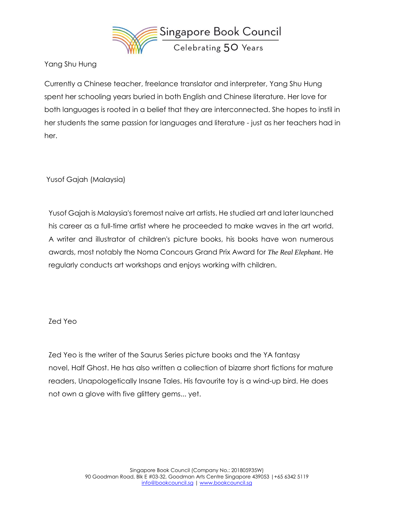

Yang Shu Hung

Currently a Chinese teacher, freelance translator and interpreter, Yang Shu Hung spent her schooling years buried in both English and Chinese literature. Her love for both languages is rooted in a belief that they are interconnected. She hopes to instil in her students the same passion for languages and literature - just as her teachers had in her.

Yusof Gajah (Malaysia)

Yusof Gajah is Malaysia's foremost naive art artists. He studied art and later launched his career as a full-time artist where he proceeded to make waves in the art world. A writer and illustrator of children's picture books, his books have won numerous awards, most notably the Noma Concours Grand Prix Award for *The Real Elephant*. He regularly conducts art workshops and enjoys working with children.

### Zed Yeo

Zed Yeo is the writer of the Saurus Series picture books and the YA fantasy novel, Half Ghost. He has also written a collection of bizarre short fictions for mature readers, Unapologetically Insane Tales. His favourite toy is a wind-up bird. He does not own a glove with five glittery gems... yet.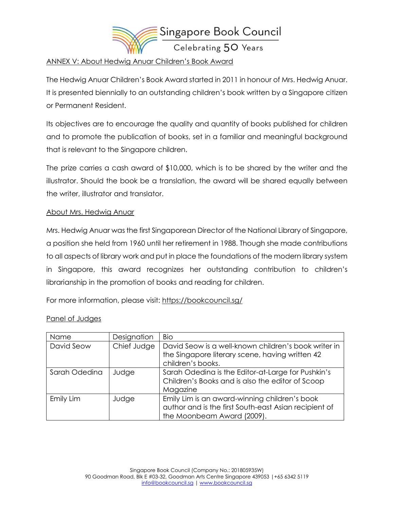

### ANNEX V: About Hedwig Anuar Children's Book Award

The Hedwig Anuar Children's Book Award started in 2011 in honour of Mrs. Hedwig Anuar. It is presented biennially to an outstanding children's book written by a Singapore citizen or Permanent Resident.

Its objectives are to encourage the quality and quantity of books published for children and to promote the publication of books, set in a familiar and meaningful background that is relevant to the Singapore children.

The prize carries a cash award of \$10,000, which is to be shared by the writer and the illustrator. Should the book be a translation, the award will be shared equally between the writer, illustrator and translator.

## About Mrs. Hedwig Anuar

Mrs. Hedwig Anuar was the first Singaporean Director of the National Library of Singapore, a position she held from 1960 until her retirement in 1988. Though she made contributions to all aspects of library work and put in place the foundations of the modern library system in Singapore, this award recognizes her outstanding contribution to children's librarianship in the promotion of books and reading for children.

For more information, please visit: <https://bookcouncil.sg/>

### Panel of Judges

| Name          | Designation | Bio                                                                                                                                  |
|---------------|-------------|--------------------------------------------------------------------------------------------------------------------------------------|
| David Seow    | Chief Judge | David Seow is a well-known children's book writer in<br>the Singapore literary scene, having written 42<br>children's books.         |
| Sarah Odedina | Judge       | Sarah Odedina is the Editor-at-Large for Pushkin's<br>Children's Books and is also the editor of Scoop<br>Magazine                   |
| Emily Lim     | Judge       | Emily Lim is an award-winning children's book<br>author and is the first South-east Asian recipient of<br>the Moonbeam Award (2009). |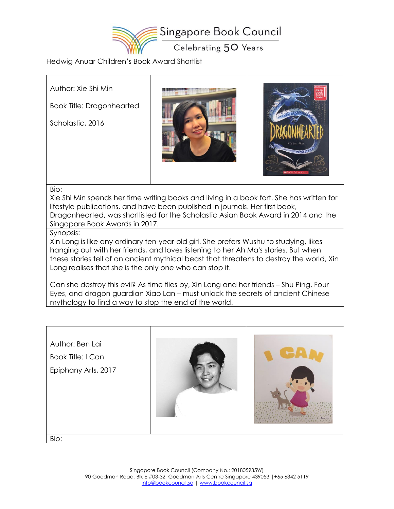

#### Hedwig Anuar Children's Book Award Shortlist

Author: Xie Shi Min

Book Title: Dragonhearted

Scholastic, 2016





#### Bio:

Xie Shi Min spends her time writing books and living in a book fort. She has written for lifestyle publications, and have been published in journals. Her first book, Dragonhearted, was shortlisted for the Scholastic Asian Book Award in 2014 and the Singapore Book Awards in 2017.

#### Synopsis:

Xin Long is like any ordinary ten-year-old girl. She prefers Wushu to studying, likes hanging out with her friends, and loves listening to her Ah Ma's stories. But when these stories tell of an ancient mythical beast that threatens to destroy the world, Xin Long realises that she is the only one who can stop it.

Can she destroy this evil? As time flies by, Xin Long and her friends – Shu Ping, Four Eyes, and dragon guardian Xiao Lan – must unlock the secrets of ancient Chinese mythology to find a way to stop the end of the world.

| Author: Ben Lai<br><b>Book Title: I Can</b><br>Epiphany Arts, 2017 |  |
|--------------------------------------------------------------------|--|
| Bio:                                                               |  |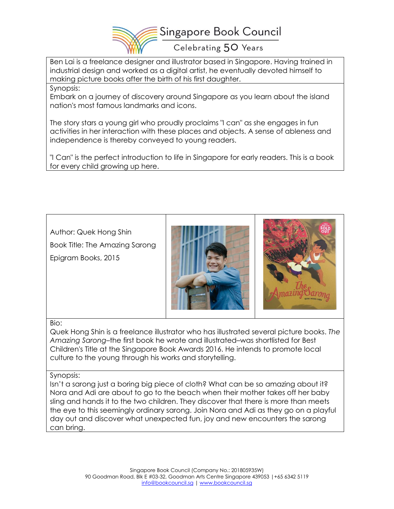

Ben Lai is a freelance designer and illustrator based in Singapore. Having trained in industrial design and worked as a digital artist, he eventually devoted himself to making picture books after the birth of his first daughter.

Synopsis:

Embark on a journey of discovery around Singapore as you learn about the island nation's most famous landmarks and icons.

The story stars a young girl who proudly proclaims "I can" as she engages in fun activities in her interaction with these places and objects. A sense of ableness and independence is thereby conveyed to young readers.

"I Can" is the perfect introduction to life in Singapore for early readers. This is a book for every child growing up here.

Author: Quek Hong Shin

Book Title: The Amazing Sarong

Epigram Books, 2015





### Bio:

Quek Hong Shin is a freelance illustrator who has illustrated several picture books. *The Amazing Sarong*–the first book he wrote and illustrated–was shortlisted for Best Children's Title at the Singapore Book Awards 2016. He intends to promote local culture to the young through his works and storytelling.

### Synopsis:

Isn't a sarong just a boring big piece of cloth? What can be so amazing about it? Nora and Adi are about to go to the beach when their mother takes off her baby sling and hands it to the two children. They discover that there is more than meets the eye to this seemingly ordinary sarong. Join Nora and Adi as they go on a playful day out and discover what unexpected fun, joy and new encounters the sarong can bring.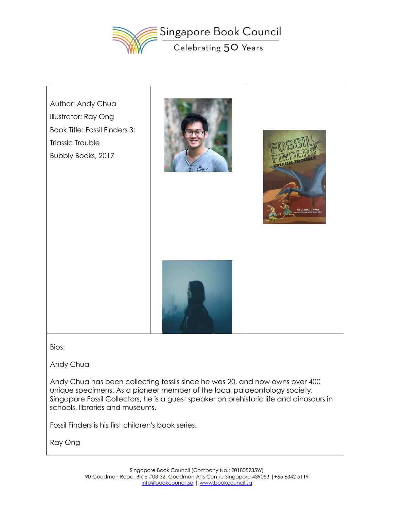



Bios:

Andy Chua

Andy Chua has been collecting fossils since he was 20, and now owns over 400 unique specimens. As a pioneer member of the local palaeontology society, Singapore Fossil Collectors, he is a guest speaker on prehistoric life and dinosaurs in schools, libraries and museums.

Fossil Finders is his first children's book series.

Ray Ong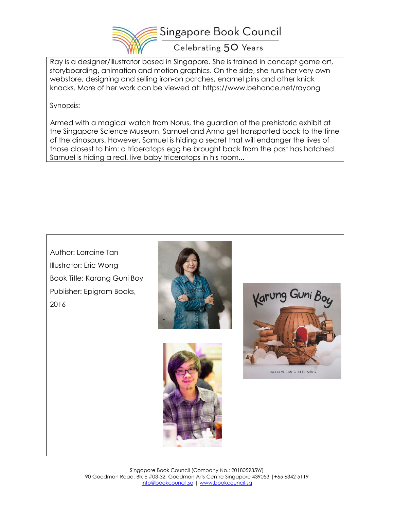

Ray is a designer/illustrator based in Singapore. She is trained in concept game art, storyboarding, animation and motion graphics. On the side, she runs her very own webstore, designing and selling iron-on patches, enamel pins and other knick knacks. More of her work can be viewed at: <https://www.behance.net/rayong>

Synopsis:

Armed with a magical watch from Norus, the guardian of the prehistoric exhibit at the Singapore Science Museum, Samuel and Anna get transported back to the time of the dinosaurs. However, Samuel is hiding a secret that will endanger the lives of those closest to him: a triceratops egg he brought back from the past has hatched. Samuel is hiding a real, live baby triceratops in his room...

Author: Lorraine Tan Illustrator: Eric Wong Book Title: Karang Guni Boy Publisher: Epigram Books, Karung Guni Boy 2016LORRAINE TAN & ERIC WONG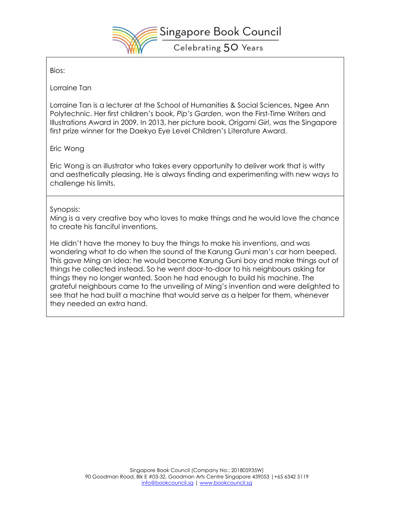

Bios:

Lorraine Tan

Lorraine Tan is a lecturer at the School of Humanities & Social Sciences, Ngee Ann Polytechnic. Her first children's book, *Pip's Garden*, won the First-Time Writers and Illustrations Award in 2009. In 2013, her picture book, *Origami Girl*, was the Singapore first prize winner for the Daekyo Eye Level Children's Literature Award.

Eric Wong

Eric Wong is an illustrator who takes every opportunity to deliver work that is witty and aesthetically pleasing. He is always finding and experimenting with new ways to challenge his limits.

### Synopsis:

Ming is a very creative boy who loves to make things and he would love the chance to create his fanciful inventions.

He didn't have the money to buy the things to make his inventions, and was wondering what to do when the sound of the Karung Guni man's car horn beeped. This gave Ming an idea: he would become Karung Guni boy and make things out of things he collected instead. So he went door-to-door to his neighbours asking for things they no longer wanted. Soon he had enough to build his machine. The grateful neighbours came to the unveiling of Ming's invention and were delighted to see that he had built a machine that would serve as a helper for them, whenever they needed an extra hand.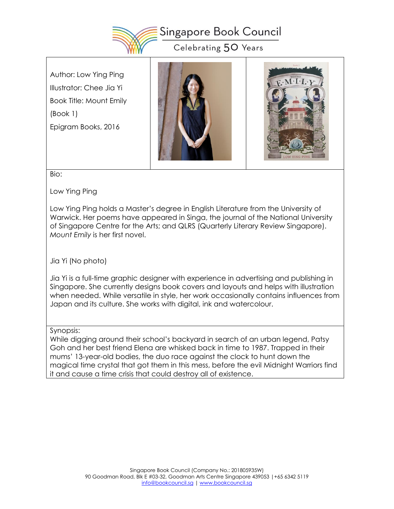

Author: Low Ying Ping Illustrator: Chee Jia Yi Book Title: Mount Emily (Book 1) Epigram Books, 2016





Bio:

Low Ying Ping

Low Ying Ping holds a Master's degree in English Literature from the University of Warwick. Her poems have appeared in Singa, the journal of the National University of Singapore Centre for the Arts; and QLRS (Quarterly Literary Review Singapore). *Mount Emily* is her first novel.

Jia Yi (No photo)

Jia Yi is a full-time graphic designer with experience in advertising and publishing in Singapore. She currently designs book covers and layouts and helps with illustration when needed. While versatile in style, her work occasionally contains influences from Japan and its culture. She works with digital, ink and watercolour.

# Synopsis:

While digging around their school's backyard in search of an urban legend, Patsy Goh and her best friend Elena are whisked back in time to 1987. Trapped in their mums' 13-year-old bodies, the duo race against the clock to hunt down the magical time crystal that got them in this mess, before the evil Midnight Warriors find it and cause a time crisis that could destroy all of existence.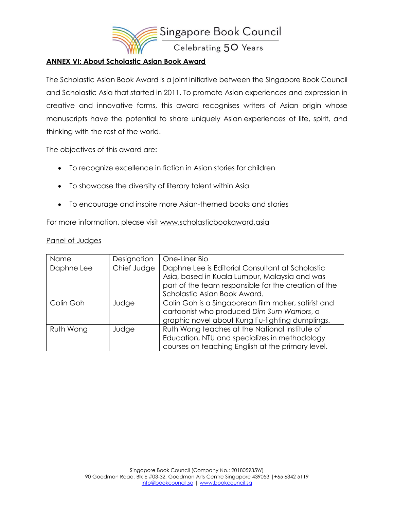

### **ANNEX VI: About Scholastic Asian Book Award**

The Scholastic Asian Book Award is a joint initiative between the Singapore Book Council and Scholastic Asia that started in 2011. To promote Asian experiences and expression in creative and innovative forms, this award recognises writers of Asian origin whose manuscripts have the potential to share uniquely Asian experiences of life, spirit, and thinking with the rest of the world.

The objectives of this award are:

- To recognize excellence in fiction in Asian stories for children
- To showcase the diversity of literary talent within Asia
- To encourage and inspire more Asian-themed books and stories

For more information, please visit [www.scholasticbookaward.asia](http://www.scholasticbookaward.asia/)

#### Panel of Judges

| Name       | Designation | One-Liner Bio                                                                                                                                                                             |
|------------|-------------|-------------------------------------------------------------------------------------------------------------------------------------------------------------------------------------------|
| Daphne Lee | Chief Judge | Daphne Lee is Editorial Consultant at Scholastic<br>Asia, based in Kuala Lumpur, Malaysia and was<br>part of the team responsible for the creation of the<br>Scholastic Asian Book Award. |
| Colin Goh  | Judge       | Colin Goh is a Singaporean film maker, satirist and<br>cartoonist who produced Dim Sum Warriors, a<br>graphic novel about Kung Fu-fighting dumplings.                                     |
| Ruth Wong  | Judge       | Ruth Wong teaches at the National Institute of<br>Education, NTU and specializes in methodology<br>courses on teaching English at the primary level.                                      |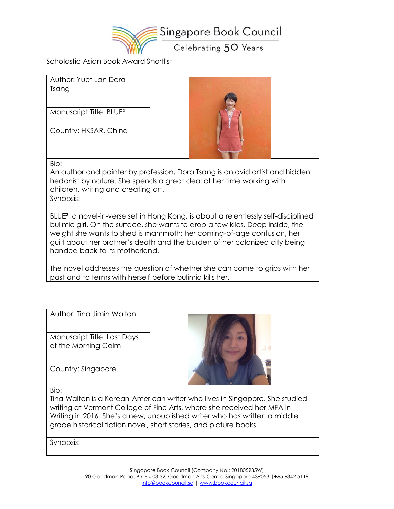

Scholastic Asian Book Award Shortlist

| Author: Yuet Lan Dora<br>Tsang      |  |
|-------------------------------------|--|
| Manuscript Title: BLUE <sup>2</sup> |  |
| Country: HKSAR, China               |  |
| Bio:                                |  |

An author and painter by profession, Dora Tsang is an avid artist and hidden hedonist by nature. She spends a great deal of her time working with children, writing and creating art.

Synopsis:

BLUE², a novel-in-verse set in Hong Kong, is about a relentlessly self-disciplined bulimic girl. On the surface, she wants to drop a few kilos. Deep inside, the weight she wants to shed is mammoth: her coming-of-age confusion, her guilt about her brother's death and the burden of her colonized city being handed back to its motherland.

The novel addresses the question of whether she can come to grips with her past and to terms with herself before bulimia kills her.

| Author: Tina Jimin Walton                          |                                                                                                                                                                                                                                    |
|----------------------------------------------------|------------------------------------------------------------------------------------------------------------------------------------------------------------------------------------------------------------------------------------|
| Manuscript Title: Last Days<br>of the Morning Calm |                                                                                                                                                                                                                                    |
| Country: Singapore                                 |                                                                                                                                                                                                                                    |
| Bio:                                               |                                                                                                                                                                                                                                    |
|                                                    | Tina Walton is a Korean-American writer who lives in Singapore. She studied<br>writing at Vermont College of Fine Arts, where she received her MFA in<br>Writing in 2016. She's a new, unpublished writer who has written a middle |

grade historical fiction novel, short stories, and picture books.

Synopsis: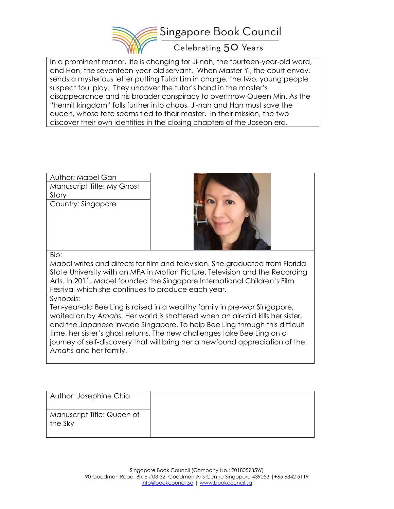

In a prominent manor, life is changing for Ji-nah, the fourteen-year-old ward, and Han, the seventeen-year-old servant. When Master Yi, the court envoy, sends a mysterious letter putting Tutor Lim in charge, the two, young people suspect foul play. They uncover the tutor's hand in the master's disappearance and his broader conspiracy to overthrow Queen Min. As the "hermit kingdom" falls further into chaos, Ji-nah and Han must save the queen, whose fate seems tied to their master. In their mission, the two discover their own identities in the closing chapters of the Joseon era.

| Author: Mabel Gan<br>Manuscript Title: My Ghost |                                                                                                                                                              |
|-------------------------------------------------|--------------------------------------------------------------------------------------------------------------------------------------------------------------|
| Story                                           |                                                                                                                                                              |
| Country: Singapore                              |                                                                                                                                                              |
| Bio:                                            |                                                                                                                                                              |
|                                                 | Mabel writes and directs for film and television. She graduated from Florida<br>State University with an MEA in Motion Picture, Television and the Recordina |

AFA in Motion Picture, Television and the Re Arts. In 2011, Mabel founded the Singapore International Children's Film Festival which she continues to produce each year.

#### Synopsis:

Ten-year-old Bee Ling is raised in a wealthy family in pre-war Singapore, waited on by *Amahs*. Her world is shattered when an air-raid kills her sister, and the Japanese invade Singapore. To help Bee Ling through this difficult time, her sister's ghost returns. The new challenges take Bee Ling on a journey of self-discovery that will bring her a newfound appreciation of the *Amahs* and her family.

| Author: Josephine Chia                |  |
|---------------------------------------|--|
| Manuscript Title: Queen of<br>the Sky |  |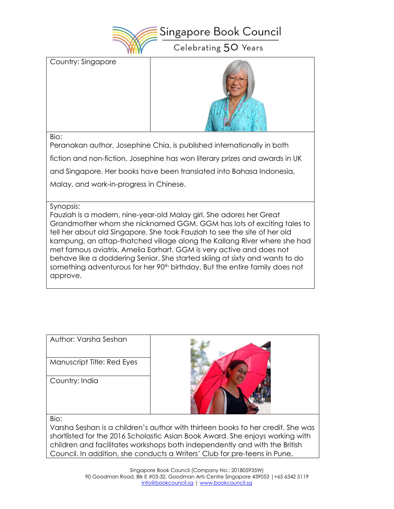

Country: Singapore



Bio:

Peranakan author, Josephine Chia, is published internationally in both

fiction and non-fiction. Josephine has won literary prizes and awards in UK

and Singapore. Her books have been translated into Bahasa Indonesia,

Malay, and work-in-progress in Chinese.

Synopsis:

Fauziah is a modern, nine-year-old Malay girl. She adores her Great Grandmother whom she nicknamed GGM. GGM has lots of exciting tales to tell her about old Singapore. She took Fauziah to see the site of her old kampung, an attap-thatched village along the Kallang River where she had met famous aviatrix, Amelia Earhart. GGM is very active and does not behave like a doddering Senior. She started skiing at sixty and wants to do something adventurous for her 90<sup>th</sup> birthday. But the entire family does not approve.

| Author: Varsha Seshan      |  |
|----------------------------|--|
| Manuscript Title: Red Eyes |  |
| Country: India             |  |
| Bio:                       |  |

Varsha Seshan is a children's author with thirteen books to her credit. She was shortlisted for the 2016 Scholastic Asian Book Award. She enjoys working with children and facilitates workshops both independently and with the British Council. In addition, she conducts a Writers' Club for pre-teens in Pune.